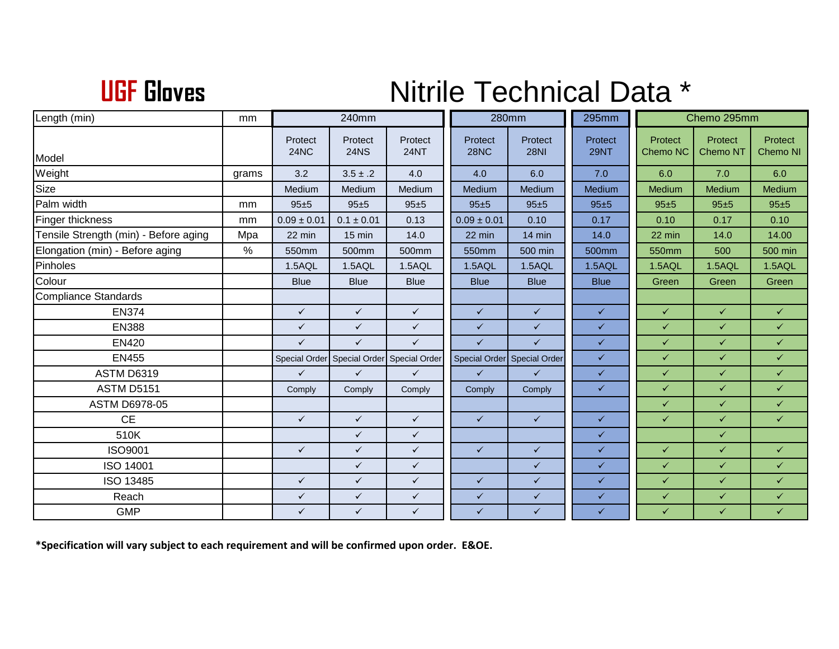## **UGF**

## **Nitrile Technical Data \***

| Length (min)                          | mm          | 240mm           |                        |                             | 280mm                       |                        | 295mm                  | Chemo 295mm         |                     |                     |
|---------------------------------------|-------------|-----------------|------------------------|-----------------------------|-----------------------------|------------------------|------------------------|---------------------|---------------------|---------------------|
| Model                                 |             | Protect<br>24NC | Protect<br><b>24NS</b> | Protect<br><b>24NT</b>      | Protect<br><b>28NC</b>      | Protect<br><b>28NI</b> | Protect<br><b>29NT</b> | Protect<br>Chemo NC | Protect<br>Chemo NT | Protect<br>Chemo NI |
| Weight                                |             | 3.2             | $3.5 \pm .2$           | 4.0                         | 4.0                         | 6.0                    | 7.0                    | 6.0                 | 7.0                 | 6.0                 |
| Size                                  | grams       | Medium          | Medium                 | Medium                      | Medium                      | Medium                 | Medium                 | Medium              | Medium              | Medium              |
| Palm width                            | mm          | $95 + 5$        | $95 + 5$               | 95±5                        | 95±5                        | $95 + 5$               | $95 + 5$               | $95 + 5$            | $95 + 5$            | $95 + 5$            |
| Finger thickness                      | mm          | $0.09 \pm 0.01$ | $0.1 \pm 0.01$         | 0.13                        | $0.09 \pm 0.01$             | 0.10                   | 0.17                   | 0.10                | 0.17                | 0.10                |
|                                       |             |                 |                        |                             |                             |                        |                        |                     |                     |                     |
| Tensile Strength (min) - Before aging | Mpa<br>$\%$ | 22 min          | 15 min                 | 14.0                        | 22 min                      | 14 min                 | 14.0                   | 22 min              | 14.0                | 14.00<br>500 min    |
| Elongation (min) - Before aging       |             | 550mm           | 500mm                  | 500mm                       | 550mm                       | 500 min                | 500mm                  | 550mm               | 500                 |                     |
| Pinholes                              |             | 1.5AQL          | 1.5AQL                 | 1.5AQL                      | 1.5AQL                      | 1.5AQL                 | 1.5AQL                 | 1.5AQL              | 1.5AQL              | 1.5AQL              |
| Colour                                |             | <b>Blue</b>     | <b>Blue</b>            | <b>Blue</b>                 | <b>Blue</b>                 | <b>Blue</b>            | <b>Blue</b>            | Green               | Green               | Green               |
| <b>Compliance Standards</b>           |             |                 |                        |                             |                             |                        |                        |                     |                     |                     |
| <b>EN374</b>                          |             | $\checkmark$    | $\checkmark$           | $\checkmark$                | $\checkmark$                | $\checkmark$           | $\checkmark$           | $\checkmark$        | $\checkmark$        | $\checkmark$        |
| <b>EN388</b>                          |             | $\checkmark$    | $\checkmark$           | $\checkmark$                | $\checkmark$                | $\checkmark$           | $\checkmark$           | $\checkmark$        | $\checkmark$        | $\checkmark$        |
| <b>EN420</b>                          |             | $\checkmark$    | $\checkmark$           | $\checkmark$                | $\checkmark$                | $\checkmark$           | $\checkmark$           | $\checkmark$        | $\checkmark$        | $\checkmark$        |
| <b>EN455</b>                          |             | Special Order   |                        | Special Order Special Order | Special Order Special Order |                        | $\checkmark$           | $\checkmark$        | $\checkmark$        | $\checkmark$        |
| <b>ASTM D6319</b>                     |             | $\checkmark$    | $\checkmark$           | $\checkmark$                | $\checkmark$                | $\checkmark$           | $\checkmark$           | $\checkmark$        | $\checkmark$        | $\checkmark$        |
| <b>ASTM D5151</b>                     |             | Comply          | Comply                 | Comply                      | Comply                      | Comply                 | $\checkmark$           | $\checkmark$        | $\checkmark$        | $\checkmark$        |
| <b>ASTM D6978-05</b>                  |             |                 |                        |                             |                             |                        |                        | $\checkmark$        | $\checkmark$        | $\checkmark$        |
| <b>CE</b>                             |             | $\checkmark$    | $\checkmark$           | $\checkmark$                | $\checkmark$                | $\checkmark$           | $\checkmark$           | $\checkmark$        | $\checkmark$        | $\checkmark$        |
| 510K                                  |             |                 | $\checkmark$           | $\checkmark$                |                             |                        | $\checkmark$           |                     | $\checkmark$        |                     |
| <b>ISO9001</b>                        |             | $\checkmark$    | $\checkmark$           | $\checkmark$                | $\checkmark$                | $\checkmark$           | $\checkmark$           | $\checkmark$        | $\checkmark$        | $\checkmark$        |
| ISO 14001                             |             |                 | $\checkmark$           | $\checkmark$                |                             | $\checkmark$           | $\checkmark$           | $\checkmark$        | $\checkmark$        | $\checkmark$        |
| ISO 13485                             |             | $\checkmark$    | $\checkmark$           | $\checkmark$                | $\checkmark$                | $\checkmark$           | $\checkmark$           | $\checkmark$        | $\checkmark$        | $\checkmark$        |
| Reach                                 |             | $\checkmark$    | $\checkmark$           | $\checkmark$                | $\checkmark$                | $\checkmark$           | $\checkmark$           | $\checkmark$        | $\checkmark$        | $\checkmark$        |
| <b>GMP</b>                            |             | $\checkmark$    | $\checkmark$           | $\checkmark$                | $\checkmark$                | $\checkmark$           | $\checkmark$           | $\checkmark$        | $\checkmark$        | $\checkmark$        |

**\*Specification will vary subject to each requirement and will be confirmed upon order. E&OE.**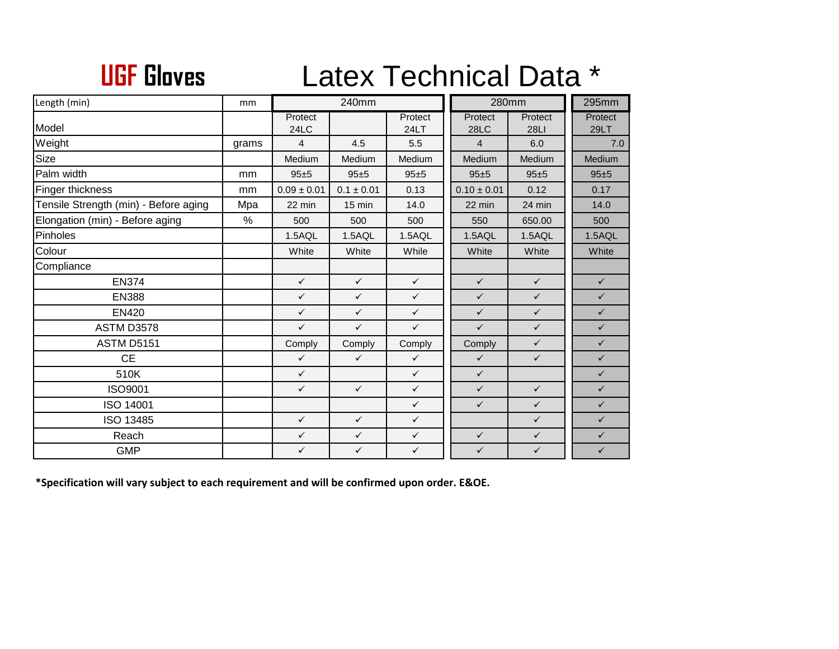## **UGF**Latex Technical Data \*

| Length (min)                          | mm    | 240mm           |                |                 | 280mm                  | 295mm                  |                        |
|---------------------------------------|-------|-----------------|----------------|-----------------|------------------------|------------------------|------------------------|
| Model                                 |       | Protect<br>24LC |                | Protect<br>24LT | Protect<br><b>28LC</b> | Protect<br><b>28LI</b> | Protect<br><b>29LT</b> |
| Weight                                | grams | 4               | 4.5            | 5.5             | $\overline{4}$         | 6.0                    | 7.0                    |
| Size                                  |       | Medium          | Medium         | Medium          | Medium                 | Medium                 | Medium                 |
| Palm width                            | mm    | 95±5            | 95±5           | $95 + 5$        | 95±5                   | $95 + 5$               | 95±5                   |
| Finger thickness                      | mm    | $0.09 \pm 0.01$ | $0.1 \pm 0.01$ | 0.13            | $0.10 \pm 0.01$        | 0.12                   | 0.17                   |
| Tensile Strength (min) - Before aging | Mpa   | 22 min          | 15 min         | 14.0            | 22 min                 | 24 min                 | 14.0                   |
| Elongation (min) - Before aging       | %     | 500             | 500            | 500             | 550                    | 650.00                 | 500                    |
| Pinholes                              |       | 1.5AQL          | 1.5AQL         | 1.5AQL          | 1.5AQL                 | 1.5AQL                 | 1.5AQL                 |
| Colour                                |       | White           | White          | While           | White                  | White                  | White                  |
| Compliance                            |       |                 |                |                 |                        |                        |                        |
| <b>EN374</b>                          |       | $\checkmark$    | $\checkmark$   | $\checkmark$    | $\checkmark$           | $\checkmark$           | $\checkmark$           |
| <b>EN388</b>                          |       | $\checkmark$    | $\checkmark$   | $\checkmark$    | $\checkmark$           | $\checkmark$           | $\checkmark$           |
| <b>EN420</b>                          |       | $\checkmark$    | $\checkmark$   | $\checkmark$    | $\checkmark$           | $\checkmark$           | $\checkmark$           |
| ASTM D3578                            |       | $\checkmark$    | $\checkmark$   | $\checkmark$    | $\checkmark$           | $\checkmark$           | $\checkmark$           |
| <b>ASTM D5151</b>                     |       | Comply          | Comply         | Comply          | Comply                 | $\checkmark$           | $\checkmark$           |
| <b>CE</b>                             |       | $\checkmark$    | $\checkmark$   | $\checkmark$    | $\checkmark$           | $\checkmark$           | $\checkmark$           |
| 510K                                  |       | $\checkmark$    |                | $\checkmark$    | $\checkmark$           |                        | $\checkmark$           |
| <b>ISO9001</b>                        |       | $\checkmark$    | $\checkmark$   | $\checkmark$    | $\checkmark$           | $\checkmark$           | $\checkmark$           |
| ISO 14001                             |       |                 |                | $\checkmark$    | $\checkmark$           | $\checkmark$           | $\checkmark$           |
| ISO 13485                             |       | $\checkmark$    | $\checkmark$   | $\checkmark$    |                        | $\checkmark$           | $\checkmark$           |
| Reach                                 |       | $\checkmark$    | $\checkmark$   | $\checkmark$    | $\checkmark$           | $\checkmark$           | $\checkmark$           |
| <b>GMP</b>                            |       | $\checkmark$    | $\checkmark$   | $\checkmark$    | $\checkmark$           | $\checkmark$           | $\checkmark$           |

**\*Specification will vary subject to each requirement and will be confirmed upon order. E&OE.**